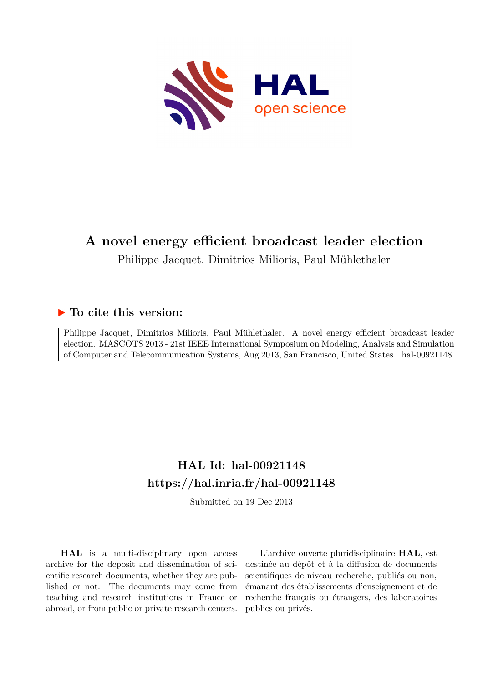

### **A novel energy efficient broadcast leader election**

Philippe Jacquet, Dimitrios Milioris, Paul Mühlethaler

### **To cite this version:**

Philippe Jacquet, Dimitrios Milioris, Paul Mühlethaler. A novel energy efficient broadcast leader election. MASCOTS 2013 - 21st IEEE International Symposium on Modeling, Analysis and Simulation of Computer and Telecommunication Systems, Aug 2013, San Francisco, United States. hal-00921148

## **HAL Id: hal-00921148 <https://hal.inria.fr/hal-00921148>**

Submitted on 19 Dec 2013

**HAL** is a multi-disciplinary open access archive for the deposit and dissemination of scientific research documents, whether they are published or not. The documents may come from teaching and research institutions in France or abroad, or from public or private research centers.

L'archive ouverte pluridisciplinaire **HAL**, est destinée au dépôt et à la diffusion de documents scientifiques de niveau recherche, publiés ou non, émanant des établissements d'enseignement et de recherche français ou étrangers, des laboratoires publics ou privés.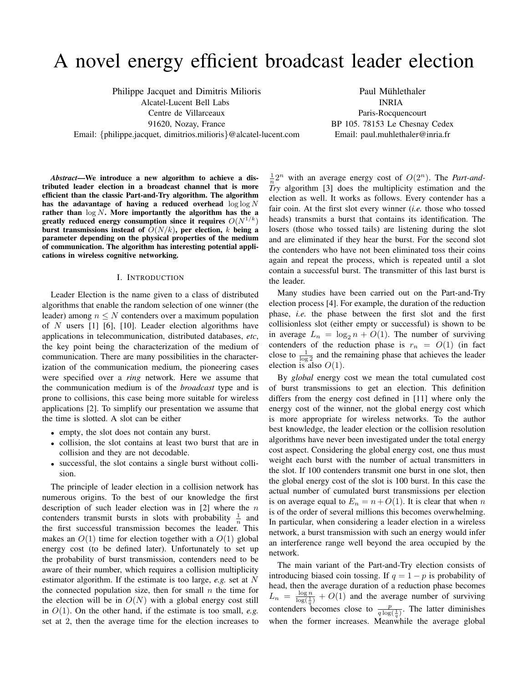# A novel energy efficient broadcast leader election

Philippe Jacquet and Dimitris Milioris Alcatel-Lucent Bell Labs Centre de Villarceaux 91620, Nozay, France Email: {philippe.jacquet, dimitrios.milioris}@alcatel-lucent.com

Paul Mühlethaler INRIA Paris-Rocquencourt BP 105. 78153 Le Chesnay Cedex Email: paul.muhlethaler@inria.fr

*Abstract*—We introduce a new algorithm to achieve a distributed leader election in a broadcast channel that is more efficient than the classic Part-and-Try algorithm. The algorithm has the adavantage of having a reduced overhead  $\log \log N$ rather than  $\log N$ . More importantly the algorithm has the a greatly reduced energy consumption since it requires  $O(N^{1/k})$ burst transmissions instead of  $O(N/k)$ , per election, k being a parameter depending on the physical properties of the medium of communication. The algorithm has interesting potential applications in wireless cognitive networking.

#### I. INTRODUCTION

Leader Election is the name given to a class of distributed algorithms that enable the random selection of one winner (the leader) among  $n \leq N$  contenders over a maximum population of  $N$  users [1] [6], [10]. Leader election algorithms have applications in telecommunication, distributed databases, *etc*, the key point being the characterization of the medium of communication. There are many possibilities in the characterization of the communication medium, the pioneering cases were specified over a *ring* network. Here we assume that the communication medium is of the *broadcast* type and is prone to collisions, this case being more suitable for wireless applications [2]. To simplify our presentation we assume that the time is slotted. A slot can be either

- empty, the slot does not contain any burst.
- collision, the slot contains at least two burst that are in collision and they are not decodable.
- successful, the slot contains a single burst without collision.

The principle of leader election in a collision network has numerous origins. To the best of our knowledge the first description of such leader election was in  $[2]$  where the n contenders transmit bursts in slots with probability  $\frac{1}{n}$  and the first successful transmission becomes the leader. This makes an  $O(1)$  time for election together with a  $O(1)$  global energy cost (to be defined later). Unfortunately to set up the probability of burst transmission, contenders need to be aware of their number, which requires a collision multiplicity estimator algorithm. If the estimate is too large, *e.g.* set at N the connected population size, then for small  $n$  the time for the election will be in  $O(N)$  with a global energy cost still in O(1). On the other hand, if the estimate is too small, *e.g.* set at 2, then the average time for the election increases to

 $\frac{1}{n}2^n$  with an average energy cost of  $O(2^n)$ . The *Part-and-Try* algorithm [3] does the multiplicity estimation and the election as well. It works as follows. Every contender has a fair coin. At the first slot every winner (*i.e.* those who tossed heads) transmits a burst that contains its identification. The losers (those who tossed tails) are listening during the slot and are eliminated if they hear the burst. For the second slot the contenders who have not been eliminated toss their coins again and repeat the process, which is repeated until a slot contain a successful burst. The transmitter of this last burst is the leader.

Many studies have been carried out on the Part-and-Try election process [4]. For example, the duration of the reduction phase, *i.e.* the phase between the first slot and the first collisionless slot (either empty or successful) is shown to be in average  $L_n = \log_2 n + O(1)$ . The number of surviving contenders of the reduction phase is  $r_n = O(1)$  (in fact close to  $\frac{1}{\log 2}$  and the remaining phase that achieves the leader election is also  $O(1)$ .

By *global* energy cost we mean the total cumulated cost of burst transmissions to get an election. This definition differs from the energy cost defined in [11] where only the energy cost of the winner, not the global energy cost which is more appropriate for wireless networks. To the author best knowledge, the leader election or the collision resolution algorithms have never been investigated under the total energy cost aspect. Considering the global energy cost, one thus must weight each burst with the number of actual transmitters in the slot. If 100 contenders transmit one burst in one slot, then the global energy cost of the slot is 100 burst. In this case the actual number of cumulated burst transmissions per election is on average equal to  $E_n = n + O(1)$ . It is clear that when n is of the order of several millions this becomes overwhelming. In particular, when considering a leader election in a wireless network, a burst transmission with such an energy would infer an interference range well beyond the area occupied by the network.

The main variant of the Part-and-Try election consists of introducing biased coin tossing. If  $q = 1 - p$  is probability of head, then the average duration of a reduction phase becomes  $L_n = \frac{\log n}{\log(\frac{1}{q})} + O(1)$  and the average number of surviving contenders becomes close to  $\frac{p}{q \log(\frac{1}{q})}$ . The latter diminishes when the former increases. Meanwhile the average global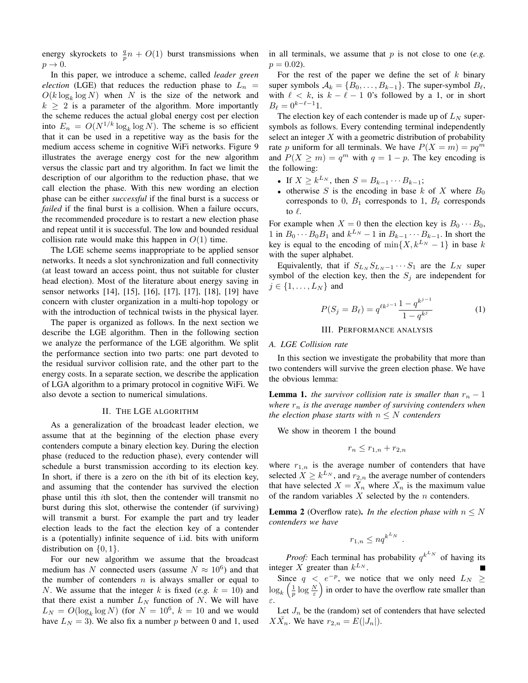energy skyrockets to  $\frac{q}{p}n + O(1)$  burst transmissions when  $p \rightarrow 0$ .

In this paper, we introduce a scheme, called *leader green election* (LGE) that reduces the reduction phase to  $L_n$  =  $O(k \log_k \log N)$  when N is the size of the network and  $k \geq 2$  is a parameter of the algorithm. More importantly the scheme reduces the actual global energy cost per election into  $E_n = O(N^{1/k} \log_k \log N)$ . The scheme is so efficient that it can be used in a repetitive way as the basis for the medium access scheme in cognitive WiFi networks. Figure 9 illustrates the average energy cost for the new algorithm versus the classic part and try algorithm. In fact we limit the description of our algorithm to the reduction phase, that we call election the phase. With this new wording an election phase can be either *successful* if the final burst is a success or *failed* if the final burst is a collision. When a failure occurs, the recommended procedure is to restart a new election phase and repeat until it is successful. The low and bounded residual collision rate would make this happen in  $O(1)$  time.

The LGE scheme seems inappropriate to be applied sensor networks. It needs a slot synchronization and full connectivity (at least toward an access point, thus not suitable for cluster head election). Most of the literature about energy saving in sensor networks [14], [15], [16], [17], [17], [18], [19] have concern with cluster organization in a multi-hop topology or with the introduction of technical twists in the physical layer.

The paper is organized as follows. In the next section we describe the LGE algorithm. Then in the following section we analyze the performance of the LGE algorithm. We split the performance section into two parts: one part devoted to the residual survivor collision rate, and the other part to the energy costs. In a separate section, we describe the application of LGA algorithm to a primary protocol in cognitive WiFi. We also devote a section to numerical simulations.

#### II. THE LGE ALGORITHM

As a generalization of the broadcast leader election, we assume that at the beginning of the election phase every contenders compute a binary election key. During the election phase (reduced to the reduction phase), every contender will schedule a burst transmission according to its election key. In short, if there is a zero on the  $i$ th bit of its election key, and assuming that the contender has survived the election phase until this ith slot, then the contender will transmit no burst during this slot, otherwise the contender (if surviving) will transmit a burst. For example the part and try leader election leads to the fact the election key of a contender is a (potentially) infinite sequence of i.id. bits with uniform distribution on  $\{0, 1\}$ .

For our new algorithm we assume that the broadcast medium has N connected users (assume  $N \approx 10^6$ ) and that the number of contenders  $n$  is always smaller or equal to N. We assume that the integer k is fixed (e.g.  $k = 10$ ) and that there exist a number  $L<sub>N</sub>$  function of N. We will have  $L_N = O(\log_k \log N)$  (for  $N = 10^6$ ,  $k = 10$  and we would have  $L_N = 3$ ). We also fix a number p between 0 and 1, used in all terminals, we assume that p is not close to one (*e.g.*)  $p = 0.02$ ).

For the rest of the paper we define the set of  $k$  binary super symbols  $A_k = \{B_0, \ldots, B_{k-1}\}.$  The super-symbol  $B_\ell$ , with  $\ell < k$ , is  $k - \ell - 1$  0's followed by a 1, or in short  $B_{\ell} = 0^{k-\ell-1}1.$ 

The election key of each contender is made up of  $L<sub>N</sub>$  supersymbols as follows. Every contending terminal independently select an integer  $X$  with a geometric distribution of probability rate p uniform for all terminals. We have  $P(X = m) = pq^m$ and  $P(X \ge m) = q^m$  with  $q = 1 - p$ . The key encoding is the following:

- If  $X \ge k^{L_N}$ , then  $S = B_{k-1} \cdots B_{k-1}$ ;
- otherwise S is the encoding in base k of X where  $B_0$ corresponds to 0,  $B_1$  corresponds to 1,  $B_\ell$  corresponds to  $\ell$ .

For example when  $X = 0$  then the election key is  $B_0 \cdots B_0$ , 1 in  $B_0 \cdots B_0 B_1$  and  $k^{L_N} - 1$  in  $B_{k-1} \cdots B_{k-1}$ . In short the key is equal to the encoding of min $\{X, k^{L_N} - 1\}$  in base k with the super alphabet.

Equivalently, that if  $S_{L_N} S_{L_N - 1} \cdots S_1$  are the  $L_N$  super symbol of the election key, then the  $S_j$  are independent for  $j \in \{1, \ldots, L_N\}$  and

$$
P(S_j = B_\ell) = q^{\ell k^{j-1}} \frac{1 - q^{k^{j-1}}}{1 - q^{k^j}} \tag{1}
$$

#### III. PERFORMANCE ANALYSIS

#### *A. LGE Collision rate*

In this section we investigate the probability that more than two contenders will survive the green election phase. We have the obvious lemma:

**Lemma 1.** *the survivor collision rate is smaller than*  $r_n - 1$ *where*  $r_n$  *is the average number of surviving contenders when the election phase starts with*  $n \leq N$  *contenders* 

We show in theorem 1 the bound

$$
r_n \le r_{1,n} + r_{2,n}
$$

where  $r_{1,n}$  is the average number of contenders that have selected  $X \geq k^{L_N}$ , and  $r_{2,n}$  the average number of contenders that have selected  $X = \overline{X}_n$  where  $\overline{X}_n$  is the maximum value of the random variables  $X$  selected by the  $n$  contenders.

**Lemma 2** (Overflow rate). *In the election phase with*  $n \leq N$ *contenders we have*

$$
r_{1,n} \le nq^{k^{L_N}}
$$

.

*Proof:* Each terminal has probability  $q^{k^{L_N}}$  of having its integer X greater than  $k^{L_N}$ .

Since  $q \leq e^{-p}$ , we notice that we only need  $L_N \geq$  $\log_k \left( \frac{1}{p} \log \frac{N}{\varepsilon} \right)$  in order to have the overflow rate smaller than ε.

Let  $J_n$  be the (random) set of contenders that have selected  $X\overline{X}_n$ . We have  $r_{2,n} = E(|J_n|)$ .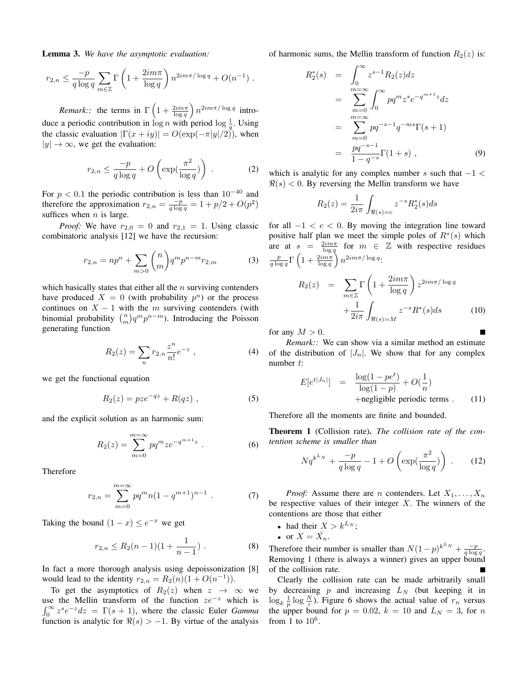Lemma 3. *We have the asymptotic evaluation:*

$$
r_{2,n} \leq \frac{-p}{q \log q} \sum_{m \in \mathbb{Z}} \Gamma\left(1 + \frac{2im\pi}{\log q}\right) n^{2im\pi/\log q} + O(n^{-1}).
$$

*Remark::* the terms in  $\Gamma\left(1 + \frac{2im\pi}{\log q}\right) n^{2im\pi/\log q}$  introduce a periodic contribution in  $\log n$  with period  $\log \frac{1}{q}$ . Using

the classic evaluation  $|\Gamma(x+iy)| = O(\exp(-\pi|y|/2))$ , when  $|y| \rightarrow \infty$ , we get the evaluation:

$$
r_{2,n} \le \frac{-p}{q \log q} + O\left(\exp(\frac{\pi^2}{\log q})\right) \tag{2}
$$

For  $p < 0.1$  the periodic contribution is less than  $10^{-40}$  and therefore the approximation  $r_{2,n} = \frac{-p}{q \log q} = 1 + p/2 + O(p^2)$ suffices when  $n$  is large.

*Proof:* We have  $r_{2,0} = 0$  and  $r_{2,1} = 1$ . Using classic combinatoric analysis [12] we have the recursion:

$$
r_{2,n} = np^n + \sum_{m>0} \binom{n}{m} q^m p^{n-m} r_{2,m} \tag{3}
$$

which basically states that either all the  $n$  surviving contenders have produced  $X = 0$  (with probability  $p^n$ ) or the process continues on  $X - 1$  with the m surviving contenders (with binomial probability  $\binom{n}{m} q^m p^{n-m}$ ). Introducing the Poisson generating function

$$
R_2(z) = \sum_n r_{2,n} \frac{z^n}{n!} e^{-z} , \qquad (4)
$$

we get the functional equation

$$
R_2(z) = pze^{-qz} + R(qz) , \qquad (5)
$$

and the explicit solution as an harmonic sum:

$$
R_2(z) = \sum_{m=0}^{m=\infty} pq^m z e^{-q^{m+1}z} . \tag{6}
$$

Therefore

$$
r_{2,n} = \sum_{m=0}^{m=\infty} pq^m n (1 - q^{m+1})^{n-1} . \tag{7}
$$

Taking the bound  $(1-x) \leq e^{-x}$  we get

$$
r_{2,n} \le R_2(n-1)(1+\frac{1}{n-1}) \ . \tag{8}
$$

In fact a more thorough analysis using depoissonization [8] would lead to the identity  $r_{2,n} = R_2(n)(1 + O(n^{-1}))$ .

To get the asymptotics of  $R_2(z)$  when  $z \to \infty$  we use the Mellin transform of the function  $ze^{-z}$  which is  $\int_0^\infty z^s e^{-z} dz = \Gamma(s+1)$ , where the classic Euler *Gamma* function is analytic for  $\Re(s) > -1$ . By virtue of the analysis of harmonic sums, the Mellin transform of function  $R_2(z)$  is:

$$
R_2^*(s) = \int_0^\infty z^{s-1} R_2(z) dz
$$
  
= 
$$
\sum_{m=0}^{m=\infty} \int_0^\infty p q^m z^s e^{-q^{m+1}z} dz
$$
  
= 
$$
\sum_{m=0}^{m=\infty} p q^{-s-1} q^{-ms} \Gamma(s+1)
$$
  
= 
$$
\frac{pq^{-s-1}}{1-q^{-s}} \Gamma(1+s) , \qquad (9)
$$

which is analytic for any complex number s such that  $-1 <$  $\Re(s)$  < 0. By reversing the Mellin transform we have

$$
R_2(z) = \frac{1}{2i\pi} \int_{\Re(s) = c} z^{-s} R_2^*(s) ds
$$

for all  $-1 < c < 0$ . By moving the integration line toward positive half plan we meet the simple poles of  $R^*(s)$  which are at  $s = \frac{2im\pi}{\log q}$  for  $m \in \mathbb{Z}$  with respective residues  $\frac{p}{q\log q}\Gamma\left(1+\frac{2im\pi}{\log q}\right)n^{2im\pi/\log q}.$ 

$$
R_2(z) = \sum_{m \in \mathbb{Z}} \Gamma\left(1 + \frac{2im\pi}{\log q}\right) z^{2im\pi/\log q} + \frac{1}{2i\pi} \int_{\Re(s) = M} z^{-s} R^*(s) ds \tag{10}
$$

for any  $M > 0$ .

*Remark::* We can show via a similar method an estimate of the distribution of  $|J_n|$ . We show that for any complex number t:

$$
E[e^{t|J_n|}] = \frac{\log(1 - pe^t)}{\log(1 - p)} + O(\frac{1}{n})
$$
  
+negligible periodic terms . (11)

Therefore all the moments are finite and bounded.

Theorem 1 (Collision rate). *The collision rate of the contention scheme is smaller than*

$$
Nq^{k^{L_N}} + \frac{-p}{q \log q} - 1 + O\left(\exp\left(\frac{\pi^2}{\log q}\right)\right) \tag{12}
$$

*Proof:* Assume there are *n* contenders. Let  $X_1, \ldots, X_n$ be respective values of their integer  $X$ . The winners of the contentions are those that either

• had their  $X > k^{L_N}$ ;

• or  $X = \overline{X}_n$ .

Therefore their number is smaller than  $N(1-p)^{k^L N} + \frac{-p}{q \log q}$ . Removing 1 (there is always a winner) gives an upper bound of the collision rate.

Clearly the collision rate can be made arbitrarily small by decreasing  $p$  and increasing  $L_N$  (but keeping it in  $\log_k \frac{1}{p} \log \frac{N}{\varepsilon}$ ). Figure 6 shows the actual value of  $r_n$  versus the upper bound for  $p = 0.02$ ,  $k = 10$  and  $L<sub>N</sub> = 3$ , for n from 1 to  $10^6$ .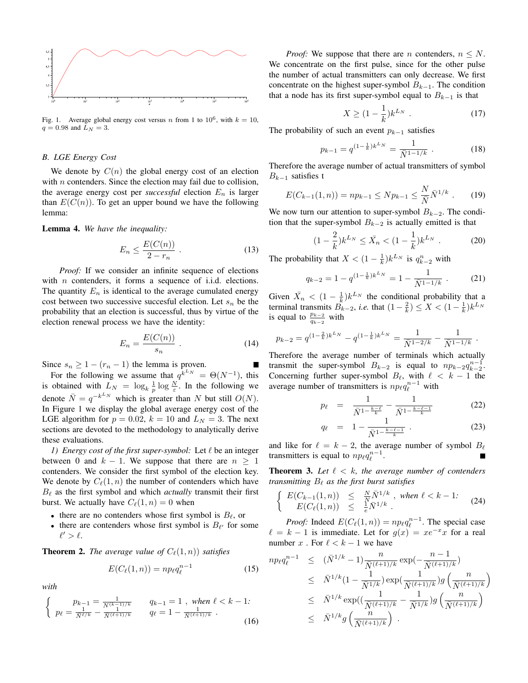

Fig. 1. Average global energy cost versus *n* from 1 to  $10^6$ , with  $k = 10$ ,  $q = 0.98$  and  $L_N = 3$ .

#### *B. LGE Energy Cost*

We denote by  $C(n)$  the global energy cost of an election with  $n$  contenders. Since the election may fail due to collision, the average energy cost per *successful* election  $E_n$  is larger than  $E(C(n))$ . To get an upper bound we have the following lemma:

#### Lemma 4. *We have the inequality:*

$$
E_n \le \frac{E(C(n))}{2 - r_n} \tag{13}
$$

*Proof:* If we consider an infinite sequence of elections with  $n$  contenders, it forms a sequence of i.i.d. elections. The quantity  $E_n$  is identical to the average cumulated energy cost between two successive succesful election. Let  $s_n$  be the probability that an election is successful, thus by virtue of the election renewal process we have the identity:

$$
E_n = \frac{E(C(n))}{s_n} \tag{14}
$$

П

Since  $s_n \geq 1 - (r_n - 1)$  the lemma is proven.

For the following we assume that  $q^{k^L N} = \Theta(N^{-1})$ , this is obtained with  $L_N = \log_k \frac{1}{p} \log \frac{N}{\varepsilon}$ . In the following we denote  $\overline{N} = q^{-k^L N}$  which is greater than N but still  $O(N)$ . In Figure 1 we display the global average energy cost of the LGE algorithm for  $p = 0.02$ ,  $k = 10$  and  $L<sub>N</sub> = 3$ . The next sections are devoted to the methodology to analytically derive these evaluations.

*1) Energy cost of the first super-symbol:* Let ℓ be an integer between 0 and  $k - 1$ . We suppose that there are  $n > 1$ contenders. We consider the first symbol of the election key. We denote by  $C_{\ell}(1, n)$  the number of contenders which have  $B_{\ell}$  as the first symbol and which *actually* transmit their first burst. We actually have  $C_{\ell}(1, n) = 0$  when

- there are no contenders whose first symbol is  $B_{\ell}$ , or
- there are contenders whose first symbol is  $B_{\ell'}$  for some  $\ell' > \ell$ .

**Theorem 2.** *The average value of*  $C_{\ell}(1, n)$ *) satisfies* 

$$
E(C_{\ell}(1,n)) = np_{\ell}q_{\ell}^{n-1}
$$
\n(15)

*with*

$$
\begin{cases}\n p_{k-1} = \frac{1}{\bar{N}^{(k-1)/k}} & q_{k-1} = 1, \text{ when } \ell < k - 1: \\
 p_{\ell} = \frac{1}{\bar{N}^{\ell/k}} - \frac{1}{\bar{N}^{(\ell+1)/k}} & q_{\ell} = 1 - \frac{1}{\bar{N}^{(\ell+1)/k}}.\n\end{cases} (16)
$$

*Proof:* We suppose that there are n contenders,  $n \leq N$ . We concentrate on the first pulse, since for the other pulse the number of actual transmitters can only decrease. We first concentrate on the highest super-symbol  $B_{k-1}$ . The condition that a node has its first super-symbol equal to  $B_{k-1}$  is that

$$
X \ge (1 - \frac{1}{k})k^{L_N} \tag{17}
$$

The probability of such an event  $p_{k-1}$  satisfies

$$
p_{k-1} = q^{(1-\frac{1}{k})k^{L_N}} = \frac{1}{\bar{N}^{1-1/k}} . \tag{18}
$$

Therefore the average number of actual transmitters of symbol  $B_{k-1}$  satisfies t

$$
E(C_{k-1}(1,n)) = np_{k-1} \le Np_{k-1} \le \frac{N}{N} \bar{N}^{1/k} . \tag{19}
$$

We now turn our attention to super-symbol  $B_{k-2}$ . The condition that the super-symbol  $B_{k-2}$  is actually emitted is that

$$
(1 - \frac{2}{k})k^{L_N} \le \bar{X}_n < (1 - \frac{1}{k})k^{L_N} \tag{20}
$$

The probability that  $X < (1 - \frac{1}{k})k^{L_N}$  is  $q_{k-2}^n$  with

$$
q_{k-2} = 1 - q^{(1 - \frac{1}{k})k^{L_N}} = 1 - \frac{1}{\bar{N}^{1 - 1/k}}.
$$
 (21)

Given  $\bar{X}_n < (1 - \frac{1}{k})k^{L_N}$  the conditional probability that a terminal transmits  $B_{k-2}$ , *i.e.* that  $(1 - \frac{2}{k}) \le X < (1 - \frac{1}{k})k^{L_N}$ is equal to  $\frac{p_{k-2}}{q_{k-2}}$  with

$$
p_{k-2} = q^{(1-\frac{2}{k})k^{L_N}} - q^{(1-\frac{1}{k})k^{L_N}} = \frac{1}{\bar{N}^{1-2/k}} - \frac{1}{\bar{N}^{1-1/k}}.
$$

Therefore the average number of terminals which actually transmit the super-symbol  $B_{k-2}$  is equal to  $np_{k-2}q_{k-2}^{n-1}$ . Concerning further super-symbol  $B_{\ell}$ , with  $\ell < k - 1$  the average number of transmitters is  $np_{\ell}q_{\ell}^{n-1}$  with

$$
p_{\ell} = \frac{1}{\bar{N}^{1-\frac{k-\ell}{k}}} - \frac{1}{\bar{N}^{1-\frac{k-\ell-1}{k}}} \tag{22}
$$

$$
q_{\ell} = 1 - \frac{1}{\bar{N}^{1 - \frac{k - \ell - 1}{k}}} \,. \tag{23}
$$

and like for  $\ell = k - 2$ , the average number of symbol  $B_{\ell}$ transmitters is equal to  $np_{\ell}q_{\ell}^{n-1}$ .

Theorem 3. *Let* ℓ < k*, the average number of contenders transmitting* B<sup>ℓ</sup> *as the first burst satisfies*

$$
\begin{cases}\nE(C_{k-1}(1,n)) \leq \frac{N}{N} \bar{N}^{1/k}, \text{ when } \ell < k-1: \\
E(C_{\ell}(1,n)) \leq \frac{1}{e} \bar{N}^{1/k}.\n\end{cases} \tag{24}
$$

*Proof:* Indeed  $E(C_{\ell}(1, n)) = np_{\ell}q_{\ell}^{n-1}$ . The special case  $\ell = k - 1$  is immediate. Let for  $g(x) = xe^{-x}x$  for a real number x. For  $\ell < k - 1$  we have

$$
n p_{\ell} q_{\ell}^{n-1} \leq (\bar{N}^{1/k} - 1) \frac{n}{\bar{N}^{(\ell+1)/k}} \exp(-\frac{n-1}{\bar{N}^{(\ell+1)/k}}) \n\leq \bar{N}^{1/k} (1 - \frac{1}{\bar{N}^{1/k}}) \exp(\frac{1}{\bar{N}^{(\ell+1)/k}}) g\left(\frac{n}{\bar{N}^{(\ell+1)/k}}\right) \n\leq \bar{N}^{1/k} \exp((\frac{1}{\bar{N}^{(\ell+1)/k}} - \frac{1}{\bar{N}^{1/k}}) g\left(\frac{n}{\bar{N}^{(\ell+1)/k}}\right) \n\leq \bar{N}^{1/k} g\left(\frac{n}{\bar{N}^{(\ell+1)/k}}\right).
$$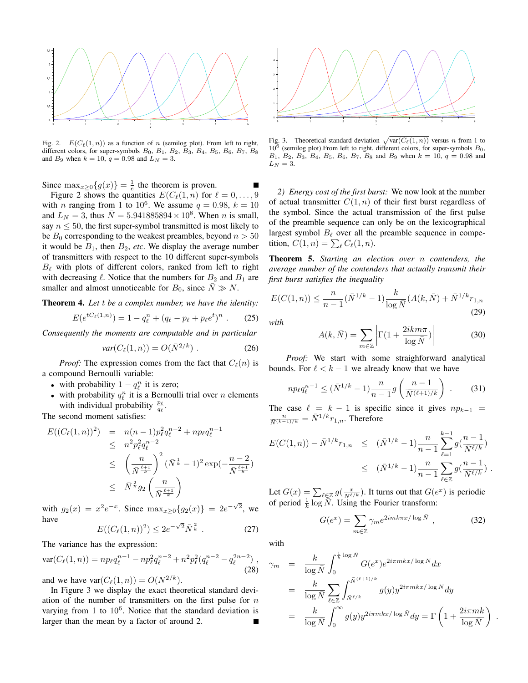

Fig. 2.  $E(C_{\ell}(1, n))$  as a function of n (semilog plot). From left to right, different colors, for super-symbols  $B_0$ ,  $B_1$ ,  $B_2$ ,  $B_3$ ,  $B_4$ ,  $B_5$ ,  $B_6$ ,  $B_7$ ,  $B_8$ and  $B_9$  when  $k = 10$ ,  $q = 0.98$  and  $L_N = 3$ .

Since  $\max_{x\geq 0} \{g(x)\} = \frac{1}{e}$  the theorem is proven.

Figure 2 shows the quantities  $E(C_{\ell}(1, n)$  for  $\ell = 0, \ldots, 9$ with *n* ranging from 1 to 10<sup>6</sup>. We assume  $q = 0.98$ ,  $k = 10$ and  $L_N = 3$ , thus  $\overline{N} = 5.941885894 \times 10^8$ . When *n* is small, say  $n \leq 50$ , the first super-symbol transmitted is most likely to be  $B_0$  corresponding to the weakest preambles, beyond  $n > 50$ it would be  $B_1$ , then  $B_2$ , *etc*. We display the average number of transmitters with respect to the 10 different super-symbols  $B_{\ell}$  with plots of different colors, ranked from left to right with decreasing  $\ell$ . Notice that the numbers for  $B_2$  and  $B_1$  are smaller and almost unnoticeable for  $B_0$ , since  $N \gg N$ .

Theorem 4. *Let* t *be a complex number, we have the identity:*

$$
E(e^{tC_{\ell}(1,n)}) = 1 - q_{\ell}^{n} + (q_{\ell} - p_{\ell} + p_{\ell}e^{t})^{n} . \qquad (25)
$$

*Consequently the moments are computable and in particular*

$$
var(C_{\ell}(1,n)) = O(\bar{N}^{2/k}) . \qquad (26)
$$

*Proof:* The expression comes from the fact that  $C_{\ell}(n)$  is a compound Bernoulli variable:

- with probability  $1 q_\ell^n$  it is zero;
- with probability  $q_\ell^n$  it is a Bernoulli trial over n elements with individual probability  $\frac{p_\ell}{q_\ell}$ .

The second moment satisfies:

$$
E((C_{\ell}(1, n))^{2}) = n(n - 1)p_{\ell}^{2}q_{\ell}^{n-2} + np_{\ell}q_{\ell}^{n-1}
$$
  
\n
$$
\leq n^{2}p_{\ell}^{2}q_{\ell}^{n-2}
$$
  
\n
$$
\leq \left(\frac{n}{\bar{N}^{\frac{\ell+1}{k}}}\right)^{2}(\bar{N}^{\frac{1}{k}} - 1)^{2} \exp(-\frac{n-2}{\bar{N}^{\frac{\ell+1}{k}}})
$$
  
\n
$$
\leq \bar{N}^{\frac{2}{k}}g_{2}\left(\frac{n}{\bar{N}^{\frac{\ell+1}{k}}}\right)
$$

with  $g_2(x) = x^2 e^{-x}$ . Since  $\max_{x \ge 0} \{g_2(x)\} = 2e^{-\sqrt{2}}$ , we have √

$$
E((C_{\ell}(1,n))^2) \le 2e^{-\sqrt{2}}\bar{N}^{\frac{2}{k}}.
$$
 (27)

The variance has the expression:

$$
\text{var}(C_{\ell}(1,n)) = np_{\ell}q_{\ell}^{n-1} - np_{\ell}^{2}q_{\ell}^{n-2} + n^{2}p_{\ell}^{2}(q_{\ell}^{n-2} - q_{\ell}^{2n-2}),
$$
\n(28)

and we have  $var(C_\ell(1,n)) = O(N^{2/k})$ .

In Figure 3 we display the exact theoretical standard deviation of the number of transmitters on the first pulse for  $n$ varying from 1 to  $10^6$ . Notice that the standard deviation is larger than the mean by a factor of around 2.



Fig. 3. Theoretical standard deviation  $\sqrt{\text{var}(C_\ell(1,n))}$  versus n from 1 to  $10^6$  (semilog plot). From left to right, different colors, for super-symbols  $B_0$ ,  $B_1, B_2, B_3, B_4, B_5, B_6, B_7, B_8$  and  $B_9$  when  $k = 10, q = 0.98$  and  $L_N = 3$ .

*2) Energy cost of the first burst:* We now look at the number of actual transmitter  $C(1, n)$  of their first burst regardless of the symbol. Since the actual transmission of the first pulse of the preamble sequence can only be on the lexicographical largest symbol  $B_\ell$  over all the preamble sequence in competition,  $C(1, n) = \sum_{\ell} C_{\ell}(1, n)$ .

Theorem 5. *Starting an election over* n *contenders, the average number of the contenders that actually transmit their first burst satisfies the inequality*

$$
E(C(1, n)) \le \frac{n}{n-1} (\bar{N}^{1/k} - 1) \frac{k}{\log \bar{N}} (A(k, \bar{N}) + \bar{N}^{1/k} r_{1,n})
$$
\n(29)

*with*

$$
A(k,\bar{N}) = \sum_{m \in \mathbb{Z}} \left| \Gamma(1 + \frac{2ikm\pi}{\log \bar{N}}) \right| \tag{30}
$$

*Proof:* We start with some straighforward analytical bounds. For  $\ell < k - 1$  we already know that we have

$$
n p_{\ell} q_{\ell}^{n-1} \leq (\bar{N}^{1/k} - 1) \frac{n}{n-1} g\left(\frac{n-1}{\bar{N}^{(\ell+1)/k}}\right) \ . \tag{31}
$$

The case  $\ell = k - 1$  is specific since it gives  $np_{k-1}$  $\frac{n}{\bar{N}^{(k-1)/k}} = \bar{N}^{1/k} r_{1,n}$ . Therefore

$$
E(C(1, n)) - \bar{N}^{1/k} r_{1,n} \leq (\bar{N}^{1/k} - 1) \frac{n}{n-1} \sum_{\ell=1}^{k-1} g(\frac{n-1}{\bar{N}^{\ell/k}}) \leq (\bar{N}^{1/k} - 1) \frac{n}{n-1} \sum_{\ell \in \mathbb{Z}} g(\frac{n-1}{\bar{N}^{\ell/k}}).
$$

Let  $G(x) = \sum_{\ell \in \mathbb{Z}} g(\frac{x}{N^{\ell/k}})$ . It turns out that  $G(e^x)$  is periodic of period  $\frac{1}{k} \log N$ . Using the Fourier transform:

$$
G(e^x) = \sum_{m \in \mathbb{Z}} \gamma_m e^{2imk\pi x/\log \bar{N}}, \qquad (32)
$$

.

with

$$
\gamma_m = \frac{k}{\log \bar{N}} \int_0^{\frac{1}{k} \log \bar{N}} G(e^x) e^{2i\pi mkx/\log \bar{N}} dx
$$
  
\n
$$
= \frac{k}{\log \bar{N}} \sum_{\ell \in \mathbb{Z}} \int_{\bar{N}^{\ell/k}}^{\bar{N}^{(\ell+1)/k}} g(y) y^{2i\pi mkx/\log \bar{N}} dy
$$
  
\n
$$
= \frac{k}{\log \bar{N}} \int_0^\infty g(y) y^{2i\pi mkx/\log \bar{N}} dy = \Gamma \left( 1 + \frac{2i\pi mk}{\log \bar{N}} \right)
$$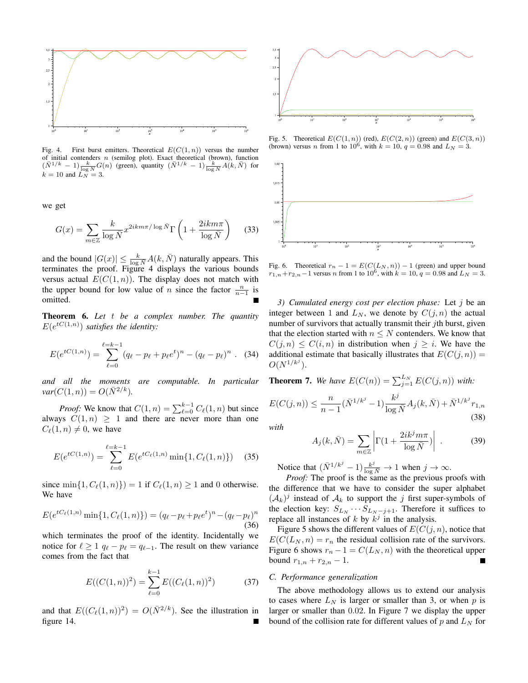

Fig. 4. First burst emitters. Theoretical  $E(C(1, n))$  versus the number of initial contenders n (semilog plot). Exact theoretical (brown), function  $(\bar{N}^{1/k} - 1) \frac{k}{\log N} G(n)$  (green), quantity  $(\bar{N}^{1/k} - 1) \frac{k}{\log N} A(k, \bar{N})$  for  $k = 10$  and  $\ddot{L}_N = 3$ .

we get

$$
G(x) = \sum_{m \in \mathbb{Z}} \frac{k}{\log \bar{N}} x^{2ikm\pi/\log \bar{N}} \Gamma\left(1 + \frac{2ikm\pi}{\log \bar{N}}\right) \tag{33}
$$

and the bound  $|G(x)| \leq \frac{k}{\log N} A(k, \overline{N})$  naturally appears. This terminates the proof. Figure 4 displays the various bounds versus actual  $E(C(1, n))$ . The display does not match with the upper bound for low value of *n* since the factor  $\frac{n}{n-1}$  is omitted.

Theorem 6. *Let* t *be a complex number. The quantity*  $E(e^{tC(1,n)})$  satisfies the identity:

$$
E(e^{tC(1,n)}) = \sum_{\ell=0}^{\ell=k-1} (q_{\ell} - p_{\ell} + p_{\ell}e^t)^n - (q_{\ell} - p_{\ell})^n . \quad (34)
$$

*and all the moments are computable. In particular*  $var(C(1, n)) = O(N^{2/k}).$ 

*Proof:* We know that  $C(1, n) = \sum_{\ell=0}^{k-1} C_{\ell}(1, n)$  but since always  $C(1, n) \geq 1$  and there are never more than one  $C_\ell(1,n) \neq 0$ , we have

$$
E(e^{tC(1,n)}) = \sum_{\ell=0}^{\ell=k-1} E(e^{tC_{\ell}(1,n)} \min\{1, C_{\ell}(1,n)\})
$$
 (35)

since  $\min\{1, C_\ell(1, n)\}\$  = 1 if  $C_\ell(1, n) \ge 1$  and 0 otherwise. We have

$$
E(e^{tC_{\ell}(1,n)}\min\{1,C_{\ell}(1,n)\}) = (q_{\ell}-p_{\ell}+p_{\ell}e^{t})^{n}-(q_{\ell}-p_{\ell})^{n}
$$
\n(36)

which terminates the proof of the identity. Incidentally we notice for  $\ell \geq 1$   $q_{\ell} - p_{\ell} = q_{\ell-1}$ . The result on thew variance comes from the fact that

$$
E((C(1, n))^2) = \sum_{\ell=0}^{k-1} E((C_{\ell}(1, n))^2)
$$
 (37)

and that  $E((C_{\ell}(1,n))^2) = O(N^{2/k})$ . See the illustration in figure 14.



Fig. 5. Theoretical  $E(C(1, n))$  (red),  $E(C(2, n))$  (green) and  $E(C(3, n))$ (brown) versus *n* from 1 to  $10^6$ , with  $k = 10$ ,  $q = 0.98$  and  $L<sub>N</sub> = 3$ .



Fig. 6. Theoretical  $r_n - 1 = E(C(L_N, n)) - 1$  (green) and upper bound  $r_{1,n}+r_{2,n}-1$  versus *n* from 1 to  $10^6$ , with  $k = 10$ ,  $q = 0.98$  and  $L_N = 3$ .

*3) Cumulated energy cost per election phase:* Let j be an integer between 1 and  $L_N$ , we denote by  $C(j, n)$  the actual number of survivors that actually transmit their *j*th burst, given that the election started with  $n \leq N$  contenders. We know that  $C(i, n) \leq C(i, n)$  in distribution when  $j \geq i$ . We have the additional estimate that basically illustrates that  $E(C(j, n)) =$  $O(N^{1/k^j}).$ 

**Theorem 7.** We have  $E(C(n)) = \sum_{j=1}^{L_N} E(C(j, n))$  with:

$$
E(C(j,n)) \le \frac{n}{n-1} (\bar{N}^{1/k^j} - 1) \frac{k^j}{\log \bar{N}} A_j(k, \bar{N}) + \bar{N}^{1/k^j} r_{1,n}
$$
\n(38)

*with*

$$
A_j(k,\bar{N}) = \sum_{m \in \mathbb{Z}} \left| \Gamma(1 + \frac{2ik^j m \pi}{\log \bar{N}}) \right| \,. \tag{39}
$$

Notice that  $(\bar{N}^{1/k^j} - 1) \frac{k^j}{\log \bar{N}} \to 1$  when  $j \to \infty$ .

*Proof:* The proof is the same as the previous proofs with the difference that we have to consider the super alphabet  $(\mathcal{A}_k)^j$  instead of  $\mathcal{A}_k$  to support the j first super-symbols of the election key:  $S_{L_N} \cdots S_{L_N - j+1}$ . Therefore it suffices to replace all instances of k by  $k<sup>j</sup>$  in the analysis.

Figure 5 shows the different values of  $E(C(i, n))$ , notice that  $E(C(L_N, n) = r_n$  the residual collision rate of the survivors. Figure 6 shows  $r_n - 1 = C(L_N, n)$  with the theoretical upper bound  $r_{1,n} + r_{2,n} - 1$ . Г

#### *C. Performance generalization*

The above methodology allows us to extend our analysis to cases where  $L<sub>N</sub>$  is larger or smaller than 3, or when p is larger or smaller than 0.02. In Figure 7 we display the upper bound of the collision rate for different values of  $p$  and  $L<sub>N</sub>$  for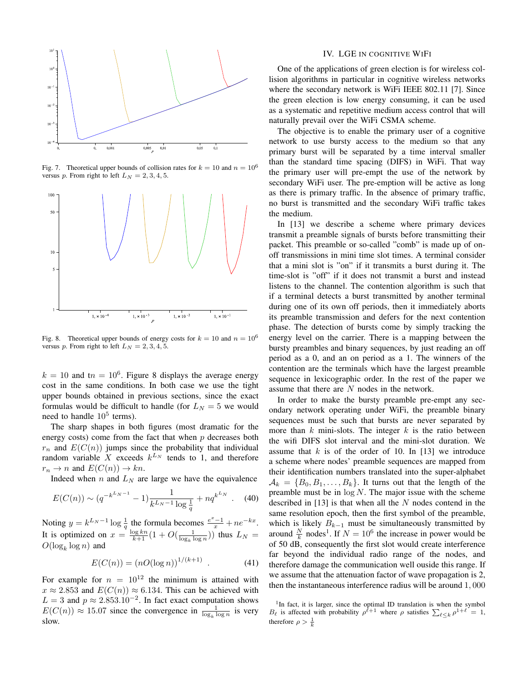

Fig. 7. Theoretical upper bounds of collision rates for  $k = 10$  and  $n = 10^6$ versus p. From right to left  $L<sub>N</sub> = 2, 3, 4, 5$ .



Fig. 8. Theoretical upper bounds of energy costs for  $k = 10$  and  $n = 10^6$ versus p. From right to left  $L_N = 2, 3, 4, 5$ .

 $k = 10$  and t $n = 10^6$ . Figure 8 displays the average energy cost in the same conditions. In both case we use the tight upper bounds obtained in previous sections, since the exact formulas would be difficult to handle (for  $L<sub>N</sub> = 5$  we would need to handle  $10^5$  terms).

The sharp shapes in both figures (most dramatic for the energy costs) come from the fact that when  $p$  decreases both  $r_n$  and  $E(C(n))$  jumps since the probability that individual random variable X exceeds  $k^{L_N}$  tends to 1, and therefore  $r_n \to n$  and  $E(C(n)) \to kn$ .

Indeed when  $n$  and  $L_N$  are large we have the equivalence

$$
E(C(n)) \sim (q^{-k^{L_N - 1}} - 1) \frac{1}{k^{L_N - 1} \log \frac{1}{q}} + nq^{k^{L_N}}.
$$
 (40)

Noting  $y = k^{L_N - 1} \log \frac{1}{q}$  the formula becomes  $\frac{e^x - 1}{x} + n e^{-kx}$ . It is optimized on  $x = \frac{\log kn}{k+1} (1 + O(\frac{1}{\log_k \log n}))$  thus  $L_N =$  $O(\log_k \log n)$  and

$$
E(C(n)) = (nO(\log n))^{1/(k+1)} . \tag{41}
$$

For example for  $n = 10^{12}$  the minimum is attained with  $x \approx 2.853$  and  $E(C(n)) \approx 6.134$ . This can be achieved with  $L = 3$  and  $p \approx 2.853.10^{-2}$ . In fact exact computation shows  $E(C(n)) \approx 15.07$  since the convergence in  $\frac{1}{\log_k \log n}$  is very slow.

#### IV. LGE IN COGNITIVE WIFI

One of the applications of green election is for wireless collision algorithms in particular in cognitive wireless networks where the secondary network is WiFi IEEE 802.11 [7]. Since the green election is low energy consuming, it can be used as a systematic and repetitive medium access control that will naturally prevail over the WiFi CSMA scheme.

The objective is to enable the primary user of a cognitive network to use bursty access to the medium so that any primary burst will be separated by a time interval smaller than the standard time spacing (DIFS) in WiFi. That way the primary user will pre-empt the use of the network by secondary WiFi user. The pre-emption will be active as long as there is primary traffic. In the absence of primary traffic, no burst is transmitted and the secondary WiFi traffic takes the medium.

In [13] we describe a scheme where primary devices transmit a preamble signals of bursts before transmitting their packet. This preamble or so-called "comb" is made up of onoff transmissions in mini time slot times. A terminal consider that a mini slot is "on" if it transmits a burst during it. The time-slot is "off" if it does not transmit a burst and instead listens to the channel. The contention algorithm is such that if a terminal detects a burst transmitted by another terminal during one of its own off periods, then it immediately aborts its preamble transmission and defers for the next contention phase. The detection of bursts come by simply tracking the energy level on the carrier. There is a mapping between the bursty preambles and binary sequences, by just reading an off period as a 0, and an on period as a 1. The winners of the contention are the terminals which have the largest preamble sequence in lexicographic order. In the rest of the paper we assume that there are N nodes in the network.

In order to make the bursty preamble pre-empt any secondary network operating under WiFi, the preamble binary sequences must be such that bursts are never separated by more than  $k$  mini-slots. The integer  $k$  is the ratio between the wifi DIFS slot interval and the mini-slot duration. We assume that  $k$  is of the order of 10. In [13] we introduce a scheme where nodes' preamble sequences are mapped from their identification numbers translated into the super-alphabet  $A_k = \{B_0, B_1, \ldots, B_k\}$ . It turns out that the length of the preamble must be in  $log N$ . The major issue with the scheme described in  $[13]$  is that when all the N nodes contend in the same resolution epoch, then the first symbol of the preamble, which is likely  $B_{k-1}$  must be simultaneously transmitted by around  $\frac{N}{k}$  nodes<sup>1</sup>. If  $N = 10^6$  the increase in power would be of 50 dB, consequently the first slot would create interference far beyond the individual radio range of the nodes, and therefore damage the communication well ouside this range. If we assume that the attenuation factor of wave propagation is 2, then the instantaneous interference radius will be around 1, 000

<sup>&</sup>lt;sup>1</sup>In fact, it is larger, since the optimal ID translation is when the symbol  $B_{\ell}$  is affected with probability  $\rho^{\ell+1}$  where  $\rho$  satisfies  $\sum_{\ell \leq k} \rho^{1+\ell} = 1$ , therefore  $\rho > \frac{1}{k}$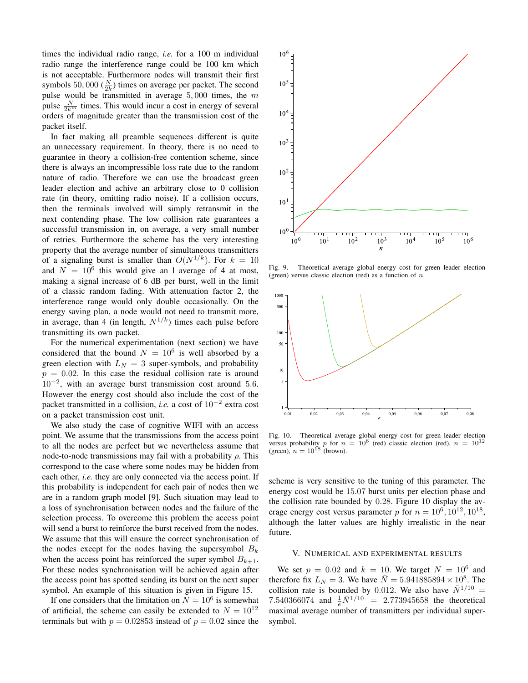times the individual radio range, *i.e.* for a 100 m individual radio range the interference range could be 100 km which is not acceptable. Furthermore nodes will transmit their first symbols 50, 000 ( $\frac{N}{2k}$ ) times on average per packet. The second pulse would be transmitted in average  $5,000$  times, the  $m$ pulse  $\frac{N}{2k^m}$  times. This would incur a cost in energy of several orders of magnitude greater than the transmission cost of the packet itself.

In fact making all preamble sequences different is quite an unnecessary requirement. In theory, there is no need to guarantee in theory a collision-free contention scheme, since there is always an incompressible loss rate due to the random nature of radio. Therefore we can use the broadcast green leader election and achive an arbitrary close to 0 collision rate (in theory, omitting radio noise). If a collision occurs, then the terminals involved will simply retransmit in the next contending phase. The low collision rate guarantees a successful transmission in, on average, a very small number of retries. Furthermore the scheme has the very interesting property that the average number of simultaneous transmitters of a signaling burst is smaller than  $O(N^{1/k})$ . For  $k = 10$ and  $N = 10^6$  this would give an 1 average of 4 at most, making a signal increase of 6 dB per burst, well in the limit of a classic random fading. With attenuation factor 2, the interference range would only double occasionally. On the energy saving plan, a node would not need to transmit more, in average, than 4 (in length,  $N^{1/k}$ ) times each pulse before transmitting its own packet.

For the numerical experimentation (next section) we have considered that the bound  $N = 10^6$  is well absorbed by a green election with  $L<sub>N</sub> = 3$  super-symbols, and probability  $p = 0.02$ . In this case the residual collision rate is around 10−<sup>2</sup> , with an average burst transmission cost around 5.6. However the energy cost should also include the cost of the packet transmitted in a collision, *i.e.* a cost of 10−<sup>2</sup> extra cost on a packet transmission cost unit.

We also study the case of cognitive WIFI with an access point. We assume that the transmissions from the access point to all the nodes are perfect but we nevertheless assume that node-to-node transmissions may fail with a probability  $ρ$ . This correspond to the case where some nodes may be hidden from each other, *i.e.* they are only connected via the access point. If this probability is independent for each pair of nodes then we are in a random graph model [9]. Such situation may lead to a loss of synchronisation between nodes and the failure of the selection process. To overcome this problem the access point will send a burst to reinforce the burst received from the nodes. We assume that this will ensure the correct synchronisation of the nodes except for the nodes having the supersymbol  $B_k$ when the access point has reinforced the super symbol  $B_{k+1}$ . For these nodes synchronisation will be achieved again after the access point has spotted sending its burst on the next super symbol. An example of this situation is given in Figure 15.

If one considers that the limitation on  $N = 10^6$  is somewhat of artificial, the scheme can easily be extended to  $N = 10^{12}$ terminals but with  $p = 0.02853$  instead of  $p = 0.02$  since the



Fig. 9. Theoretical average global energy cost for green leader election (green) versus classic election (red) as a function of  $n$ .



Fig. 10. Theoretical average global energy cost for green leader election versus probability p for  $n = 10^6$  (red) classic election (red),  $n = 10^{12}$ (green),  $n = 10^{18}$  (brown).

scheme is very sensitive to the tuning of this parameter. The energy cost would be 15.07 burst units per election phase and the collision rate bounded by 0.28. Figure 10 display the average energy cost versus parameter p for  $n = 10^6, 10^{12}, 10^{18}$ , although the latter values are highly irrealistic in the near future.

#### V. NUMERICAL AND EXPERIMENTAL RESULTS

We set  $p = 0.02$  and  $k = 10$ . We target  $N = 10^6$  and therefore fix  $L_N = 3$ . We have  $\overline{N} = 5.941885894 \times 10^8$ . The collision rate is bounded by 0.012. We also have  $\bar{N}^{1/10}$  = 7.540366074 and  $\frac{1}{e}N^{1/10} = 2.773945658$  the theoretical maximal average number of transmitters per individual supersymbol.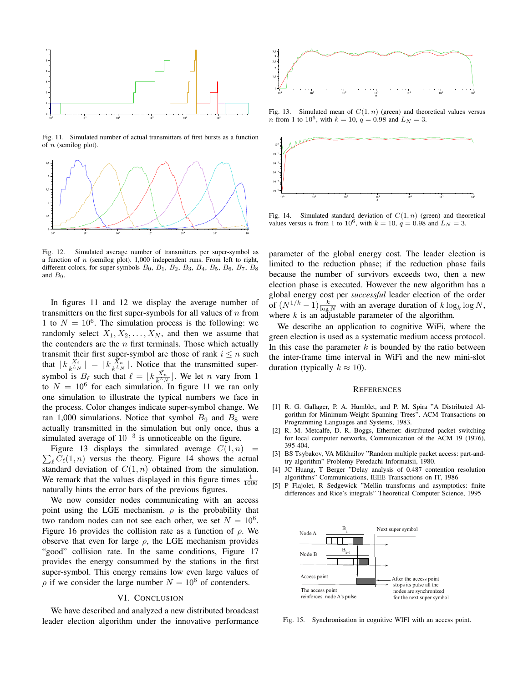

Fig. 11. Simulated number of actual transmitters of first bursts as a function of  $n$  (semilog plot).



Fig. 12. Simulated average number of transmitters per super-symbol as a function of  $n$  (semilog plot). 1,000 independent runs. From left to right, different colors, for super-symbols  $B_0$ ,  $B_1$ ,  $B_2$ ,  $B_3$ ,  $B_4$ ,  $B_5$ ,  $B_6$ ,  $B_7$ ,  $B_8$ and  $B_9$ .

In figures 11 and 12 we display the average number of transmitters on the first super-symbols for all values of  $n$  from 1 to  $N = 10^6$ . The simulation process is the following: we randomly select  $X_1, X_2, \ldots, X_N$ , and then we assume that the contenders are the  $n$  first terminals. Those which actually transmit their first super-symbol are those of rank  $i \leq n$  such that  $\lfloor k \frac{X_i}{k^{L_N}} \rfloor = \lfloor k \frac{X_n}{k^{L_N}} \rfloor$ . Notice that the transmitted supersymbol is  $B_{\ell}$  such that  $\ell = \lfloor k \frac{X_n}{k^{L_N}} \rfloor$ . We let *n* vary from 1 to  $N = 10^6$  for each simulation. In figure 11 we ran only one simulation to illustrate the typical numbers we face in the process. Color changes indicate super-symbol change. We ran 1,000 simulations. Notice that symbol  $B_9$  and  $B_8$  were actually transmitted in the simulation but only once, thus a simulated average of  $10^{-3}$  is unnoticeable on the figure.

 $\sum_{\ell} C_{\ell}(1, n)$  versus the theory. Figure 14 shows the actual Figure 13 displays the simulated average  $C(1, n)$  = standard deviation of  $C(1, n)$  obtained from the simulation. We remark that the values displayed in this figure times  $\frac{1}{1000}$ naturally hints the error bars of the previous figures.

We now consider nodes communicating with an access point using the LGE mechanism.  $\rho$  is the probability that two random nodes can not see each other, we set  $N = 10^6$ . Figure 16 provides the collision rate as a function of  $\rho$ . We observe that even for large  $\rho$ , the LGE mechanism provides "good" collision rate. In the same conditions, Figure 17 provides the energy consummed by the stations in the first super-symbol. This energy remains low even large values of  $\rho$  if we consider the large number  $N = 10^6$  of contenders.

#### VI. CONCLUSION

We have described and analyzed a new distributed broadcast leader election algorithm under the innovative performance



Fig. 13. Simulated mean of  $C(1, n)$  (green) and theoretical values versus *n* from 1 to 10<sup>6</sup>, with  $k = 10$ ,  $q = 0.98$  and  $L<sub>N</sub> = 3$ .



Fig. 14. Simulated standard deviation of  $C(1, n)$  (green) and theoretical values versus *n* from 1 to 10<sup>6</sup>, with  $k = 10$ ,  $q = 0.98$  and  $L<sub>N</sub> = 3$ .

parameter of the global energy cost. The leader election is limited to the reduction phase; if the reduction phase fails because the number of survivors exceeds two, then a new election phase is executed. However the new algorithm has a global energy cost per *successful* leader election of the order of  $(N^{1/k}-1) \frac{k}{\log N}$  with an average duration of  $k \log_k \log N$ , where  $k$  is an adjustable parameter of the algorithm.

We describe an application to cognitive WiFi, where the green election is used as a systematic medium access protocol. In this case the parameter  $k$  is bounded by the ratio between the inter-frame time interval in WiFi and the new mini-slot duration (typically  $k \approx 10$ ).

#### **REFERENCES**

- [1] R. G. Gallager, P. A. Humblet, and P. M. Spira "A Distributed Algorithm for Minimum-Weight Spanning Trees". ACM Transactions on Programming Languages and Systems, 1983.
- [2] R. M. Metcalfe, D. R. Boggs, Ethernet: distributed packet switching for local computer networks, Communication of the ACM 19 (1976), 395-404.
- [3] BS Tsybakov, VA Mikhailov "Random multiple packet access: part-andtry algorithm" Problemy Peredachi Informatsii, 1980.
- [4] JC Huang, T Berger "Delay analysis of 0.487 contention resolution algorithms" Communications, IEEE Transactions on IT, 1986
- [5] P Flajolet, R Sedgewick "Mellin transforms and asymptotics: finite differences and Rice's integrals" Theoretical Computer Science, 1995



Fig. 15. Synchronisation in cognitive WIFI with an access point.